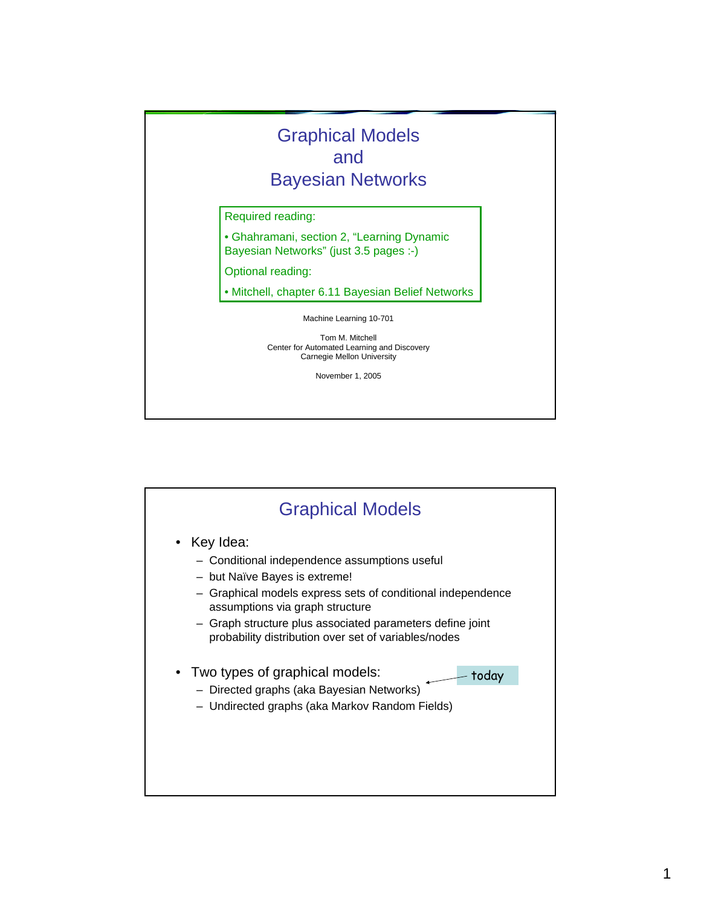

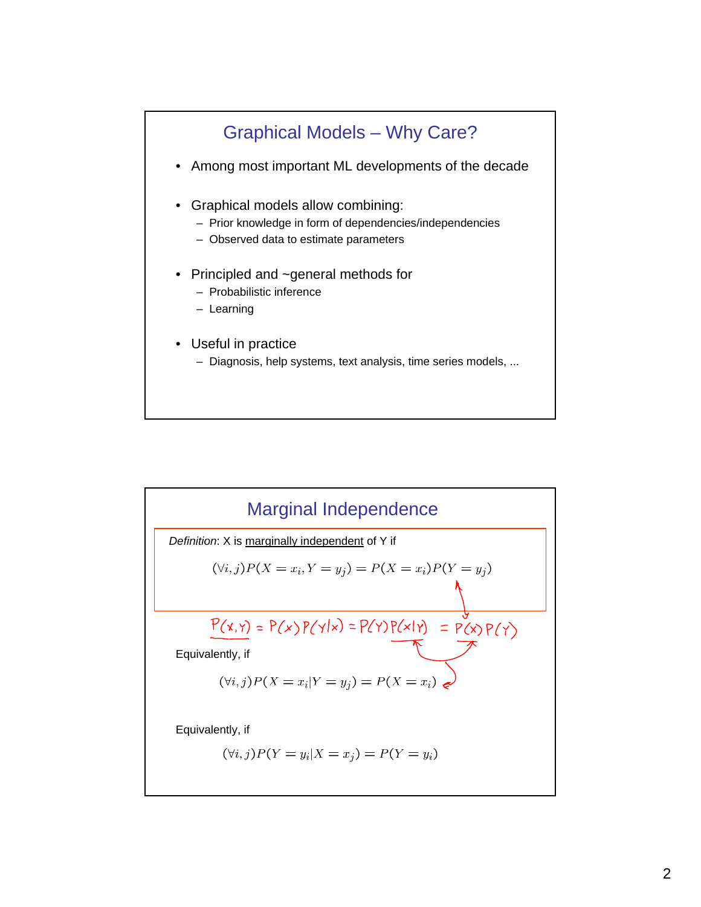

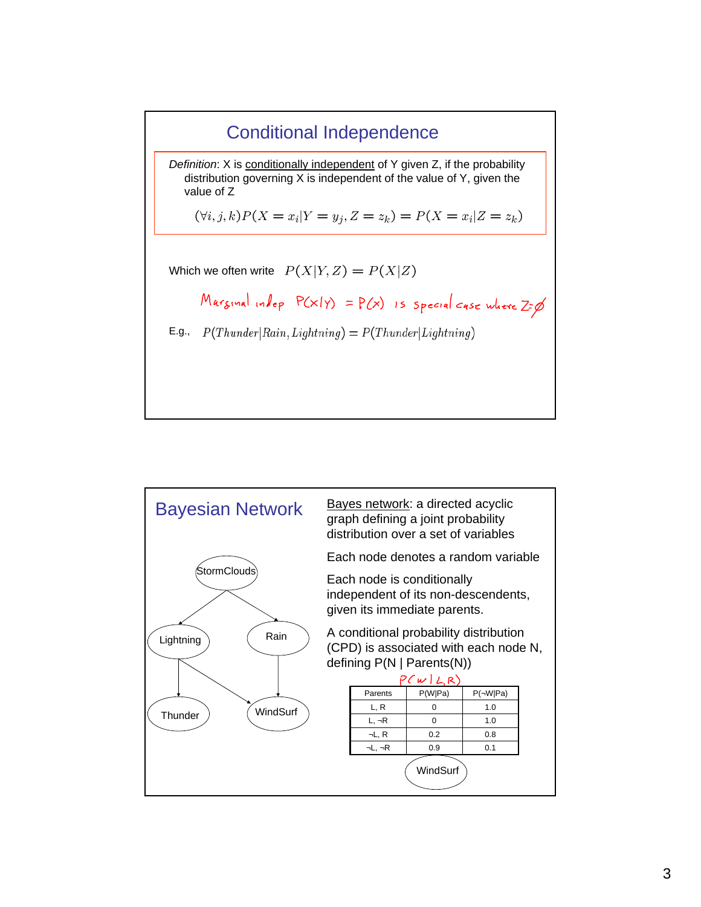

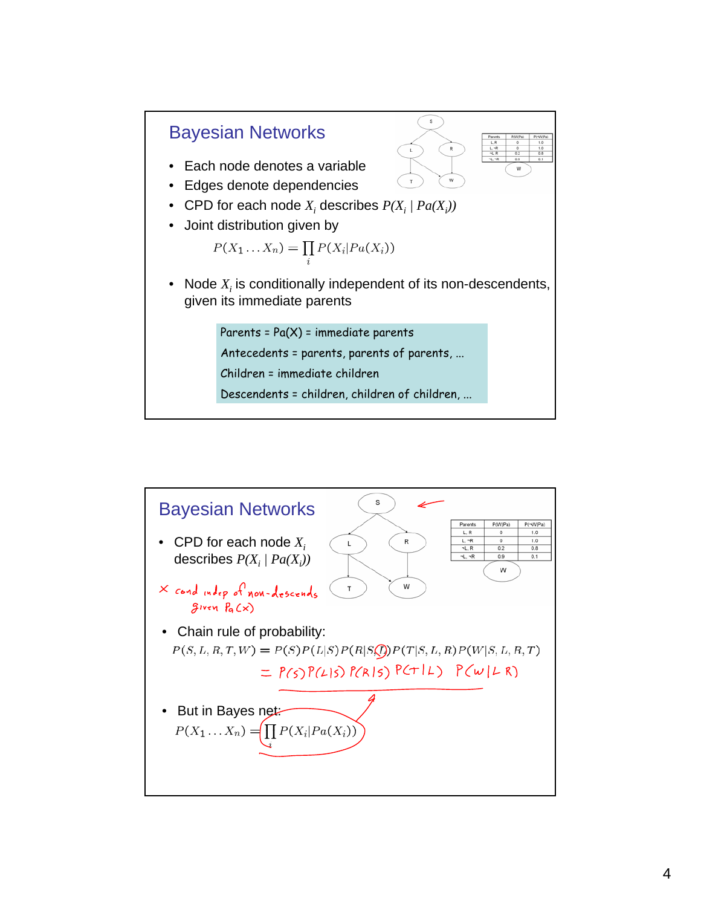

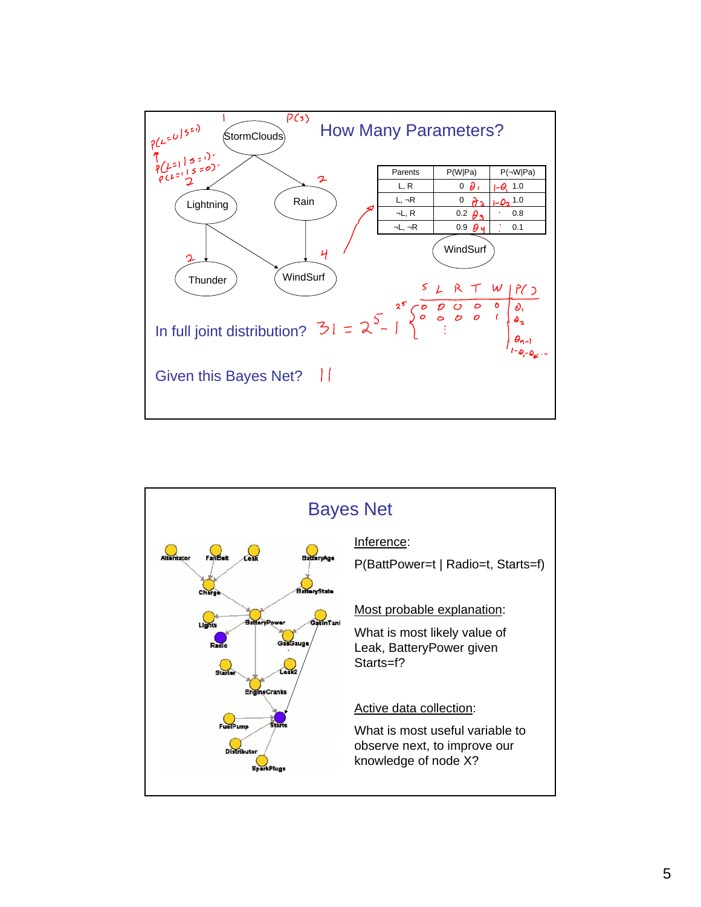

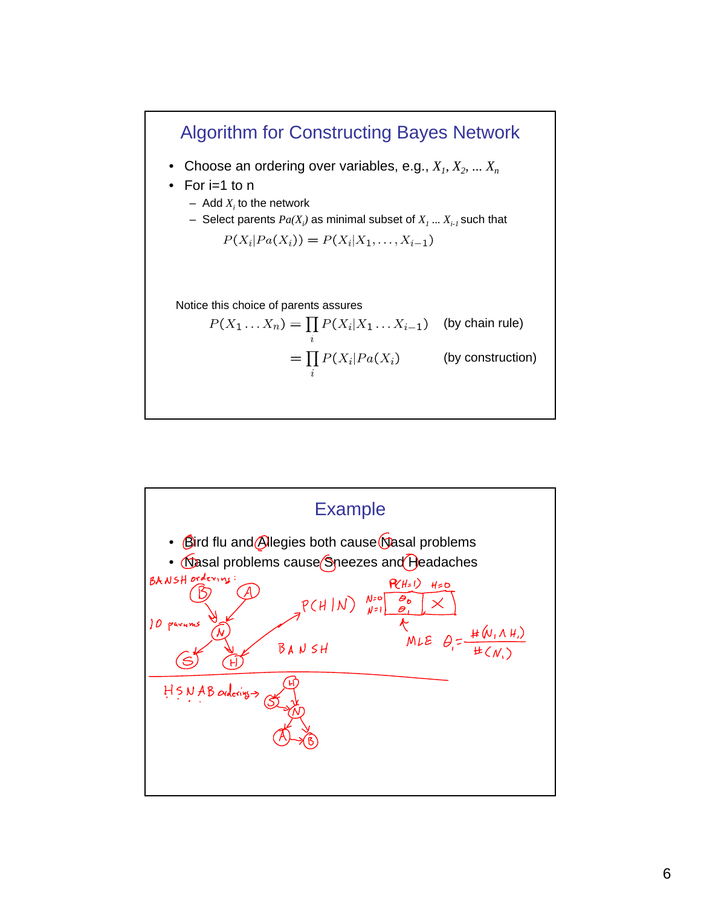

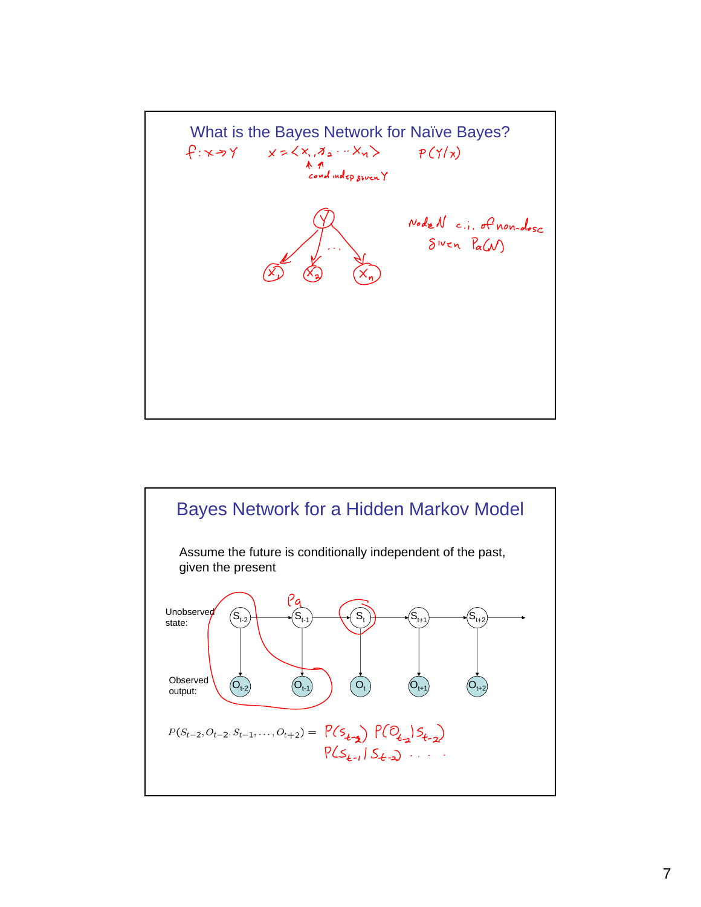

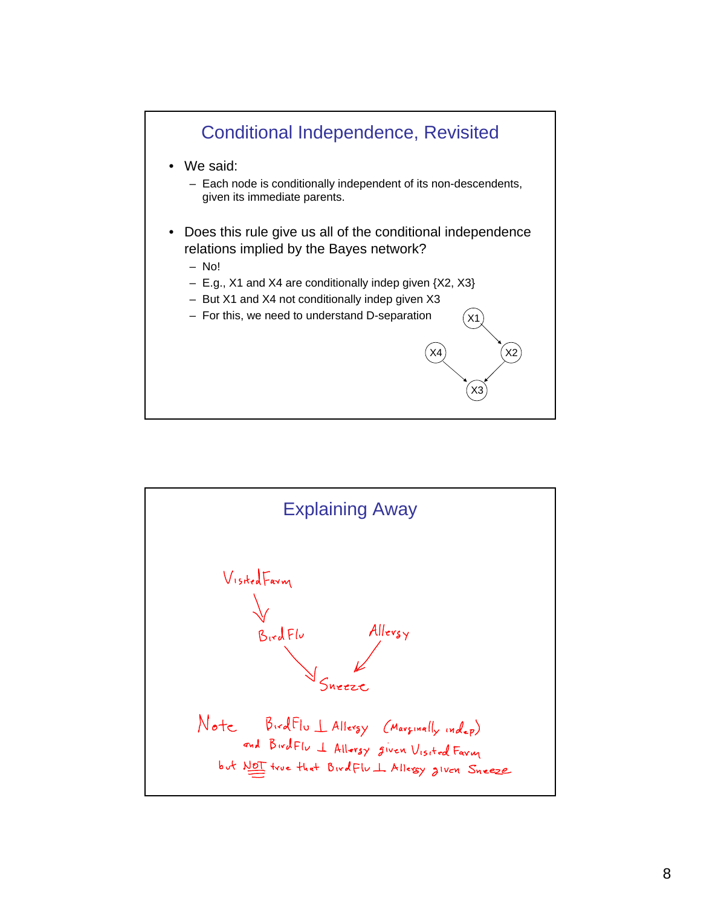

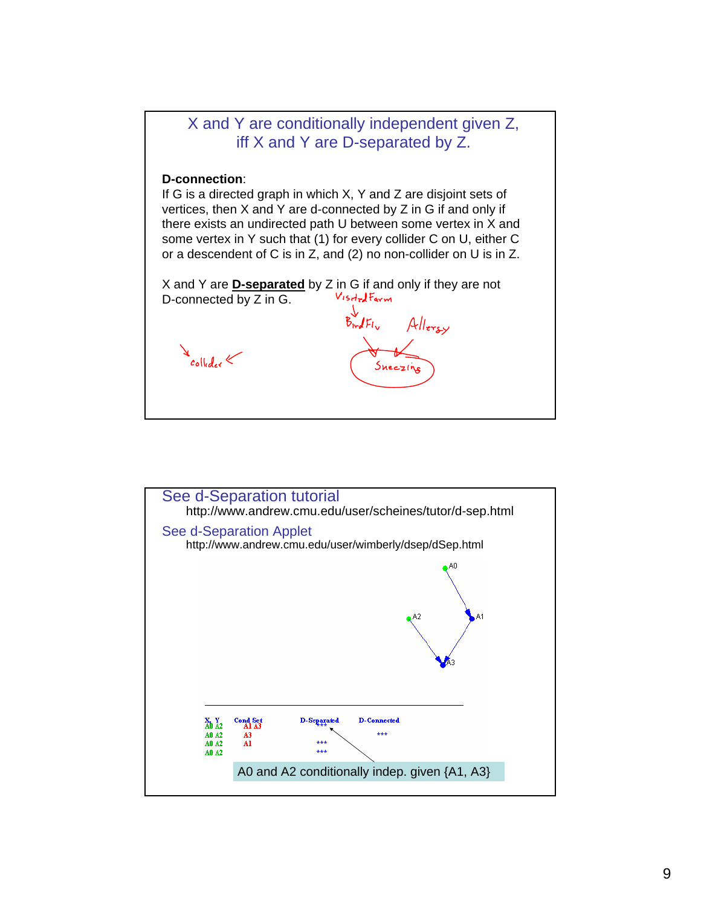

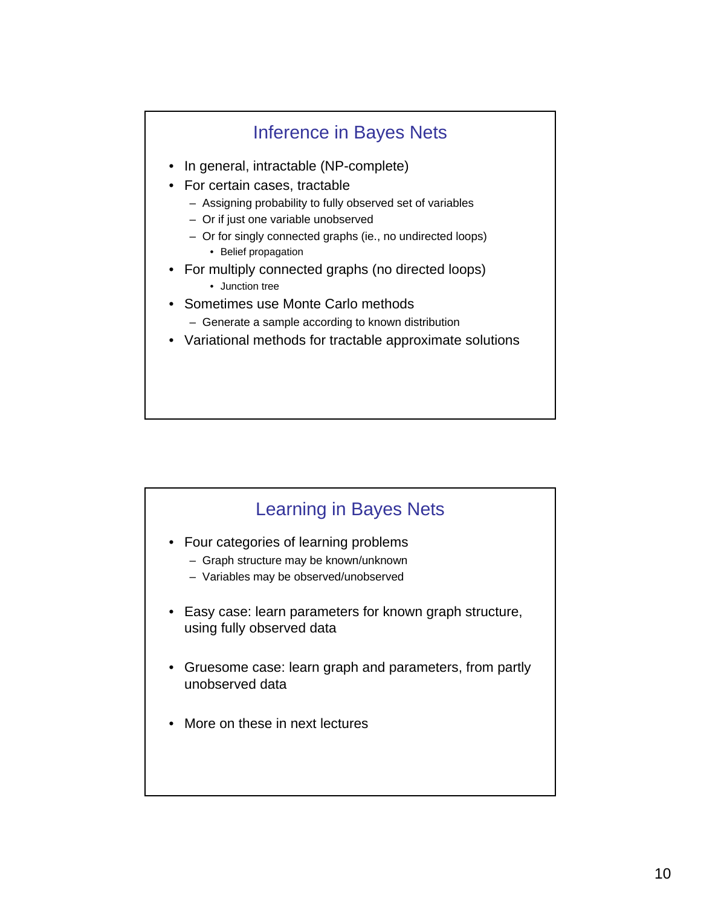